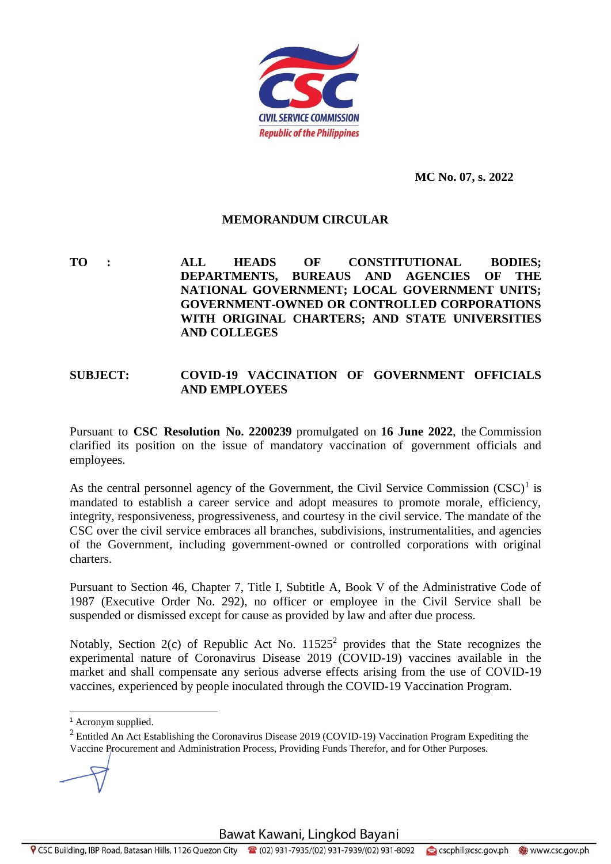

**MC No. 07, s. 2022**

## **MEMORANDUM CIRCULAR**

**TO : ALL HEADS OF CONSTITUTIONAL BODIES; DEPARTMENTS, BUREAUS AND AGENCIES OF THE NATIONAL GOVERNMENT; LOCAL GOVERNMENT UNITS; GOVERNMENT-OWNED OR CONTROLLED CORPORATIONS WITH ORIGINAL CHARTERS; AND STATE UNIVERSITIES AND COLLEGES**

## **SUBJECT: COVID-19 VACCINATION OF GOVERNMENT OFFICIALS AND EMPLOYEES**

Pursuant to **CSC Resolution No. 2200239** promulgated on **16 June 2022**, the Commission clarified its position on the issue of mandatory vaccination of government officials and employees.

As the central personnel agency of the Government, the Civil Service Commission  $(CSC)^1$  is mandated to establish a career service and adopt measures to promote morale, efficiency, integrity, responsiveness, progressiveness, and courtesy in the civil service. The mandate of the CSC over the civil service embraces all branches, subdivisions, instrumentalities, and agencies of the Government, including government-owned or controlled corporations with original charters.

Pursuant to Section 46, Chapter 7, Title I, Subtitle A, Book V of the Administrative Code of 1987 (Executive Order No. 292), no officer or employee in the Civil Service shall be suspended or dismissed except for cause as provided by law and after due process.

Notably, Section 2(c) of Republic Act No.  $11525^2$  provides that the State recognizes the experimental nature of Coronavirus Disease 2019 (COVID-19) vaccines available in the market and shall compensate any serious adverse effects arising from the use of COVID-19 vaccines, experienced by people inoculated through the COVID-19 Vaccination Program.

<sup>&</sup>lt;sup>1</sup> Acronym supplied.

<sup>&</sup>lt;sup>2</sup> Entitled An Act Establishing the Coronavirus Disease 2019 (COVID-19) Vaccination Program Expediting the Vaccine Procurement and Administration Process, Providing Funds Therefor, and for Other Purposes.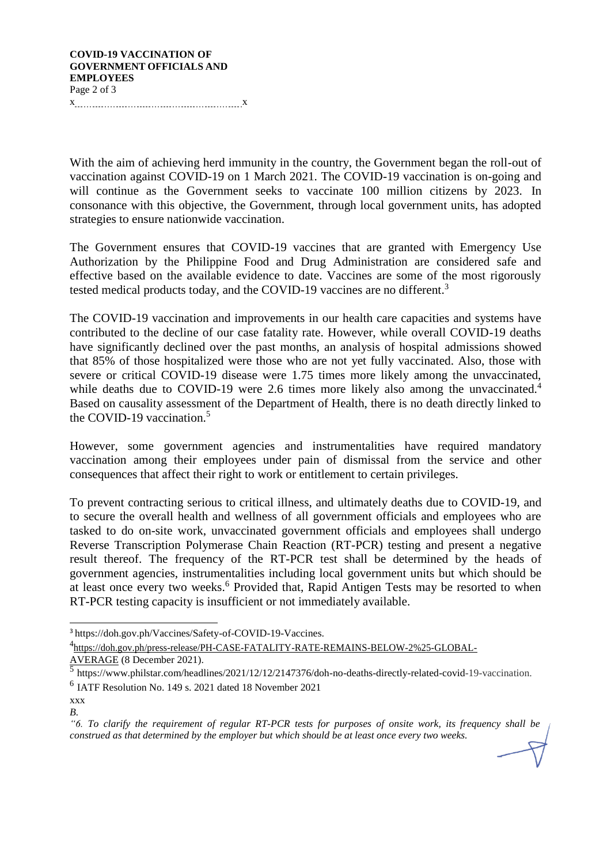## **COVID-19 VACCINATION OF GOVERNMENT OFFICIALS AND EMPLOYEES** Page 2 of 3

x x

With the aim of achieving herd immunity in the country, the Government began the roll-out of vaccination against COVID-19 on 1 March 2021. The COVID-19 vaccination is on-going and will continue as the Government seeks to vaccinate 100 million citizens by 2023. In consonance with this objective, the Government, through local government units, has adopted strategies to ensure nationwide vaccination.

The Government ensures that COVID-19 vaccines that are granted with Emergency Use Authorization by the Philippine Food and Drug Administration are considered safe and effective based on the available evidence to date. Vaccines are some of the most rigorously tested medical products today, and the COVID-19 vaccines are no different.<sup>3</sup>

The COVID-19 vaccination and improvements in our health care capacities and systems have contributed to the decline of our case fatality rate. However, while overall COVID-19 deaths have significantly declined over the past months, an analysis of hospital admissions showed that 85% of those hospitalized were those who are not yet fully vaccinated. Also, those with severe or critical COVID-19 disease were 1.75 times more likely among the unvaccinated, while deaths due to COVID-19 were 2.6 times more likely also among the unvaccinated.<sup>4</sup> Based on causality assessment of the Department of Health, there is no death directly linked to the COVID-19 vaccination.<sup>5</sup>

However, some government agencies and instrumentalities have required mandatory vaccination among their employees under pain of dismissal from the service and other consequences that affect their right to work or entitlement to certain privileges.

To prevent contracting serious to critical illness, and ultimately deaths due to COVID-19, and to secure the overall health and wellness of all government officials and employees who are tasked to do on-site work, unvaccinated government officials and employees shall undergo Reverse Transcription Polymerase Chain Reaction (RT-PCR) testing and present a negative result thereof. The frequency of the RT-PCR test shall be determined by the heads of government agencies, instrumentalities including local government units but which should be at least once every two weeks.<sup>6</sup> Provided that, Rapid Antigen Tests may be resorted to when RT-PCR testing capacity is insufficient or not immediately available.

<sup>3</sup> https://doh.gov.ph/Vaccines/Safety-of-COVID-19-Vaccines.

<sup>4</sup> [https://doh.gov.ph/press-release/PH-CASE-FATALITY-RATE-REMAINS-BELOW-2%25-GLOBAL-](https://doh.gov.ph/press-release/PH-CASE-FATALITY-RATE-REMAINS-BELOW-2%25-GLOBAL-AVERAGE)[AVERAGE](https://doh.gov.ph/press-release/PH-CASE-FATALITY-RATE-REMAINS-BELOW-2%25-GLOBAL-AVERAGE) (8 December 2021).

<sup>5</sup> https:/[/www.philstar.com/headlines/2021/12/12/2147376/doh-no-deaths-directly-related-covid-19-vaccination.](http://www.philstar.com/headlines/2021/12/12/2147376/doh-no-deaths-directly-related-covid-19-vaccination)

<sup>6</sup> IATF Resolution No. 149 s. 2021 dated 18 November 2021

xxx *B.*

<sup>&</sup>quot;6. To clarify the requirement of regular RT-PCR tests for purposes of onsite work, its frequency shall be *construed as that determined by the employer but which should be at least once every two weeks.*